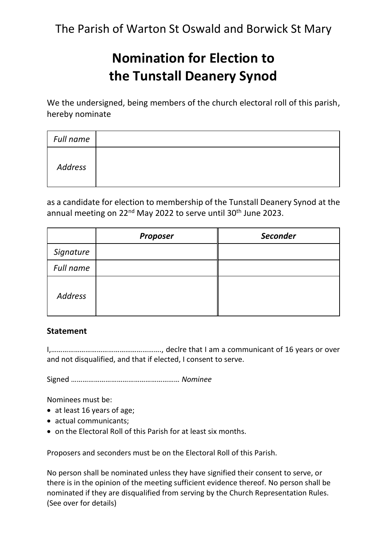The Parish of Warton St Oswald and Borwick St Mary

## **Nomination for Election to the Tunstall Deanery Synod**

We the undersigned, being members of the church electoral roll of this parish, hereby nominate

| Full name |  |
|-----------|--|
| Address   |  |

as a candidate for election to membership of the Tunstall Deanery Synod at the annual meeting on 22<sup>nd</sup> May 2022 to serve until 30<sup>th</sup> June 2023.

|                | <b>Proposer</b> | <b>Seconder</b> |
|----------------|-----------------|-----------------|
| Signature      |                 |                 |
| Full name      |                 |                 |
| <b>Address</b> |                 |                 |

## **Statement**

I,…………………………………………………., declre that I am a communicant of 16 years or over and not disqualified, and that if elected, I consent to serve.

Signed ………………………………………………… *Nominee*

Nominees must be:

- at least 16 years of age;
- actual communicants;
- on the Electoral Roll of this Parish for at least six months.

Proposers and seconders must be on the Electoral Roll of this Parish.

No person shall be nominated unless they have signified their consent to serve, or there is in the opinion of the meeting sufficient evidence thereof. No person shall be nominated if they are disqualified from serving by the Church Representation Rules. (See over for details)